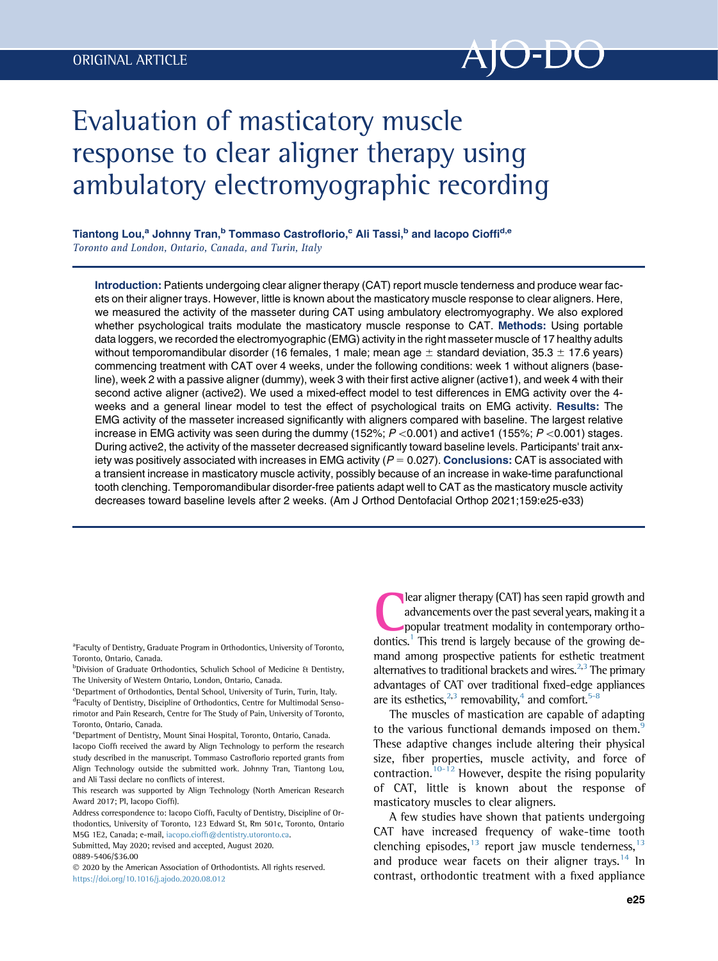

# Evaluation of masticatory muscle response to clear aligner therapy using ambulatory electromyographic recording

Tiantong Lou,<sup>a</sup> Johnny Tran,<sup>b</sup> Tommaso Castroflorio,<sup>c</sup> Ali Tassi,<sup>b</sup> and Iacopo Cioffi<sup>d,e</sup> Toronto and London, Ontario, Canada, and Turin, Italy

Introduction: Patients undergoing clear aligner therapy (CAT) report muscle tenderness and produce wear facets on their aligner trays. However, little is known about the masticatory muscle response to clear aligners. Here, we measured the activity of the masseter during CAT using ambulatory electromyography. We also explored whether psychological traits modulate the masticatory muscle response to CAT. Methods: Using portable data loggers, we recorded the electromyographic (EMG) activity in the right masseter muscle of 17 healthy adults without temporomandibular disorder (16 females, 1 male; mean age  $\pm$  standard deviation, 35.3  $\pm$  17.6 years) commencing treatment with CAT over 4 weeks, under the following conditions: week 1 without aligners (baseline), week 2 with a passive aligner (dummy), week 3 with their first active aligner (active1), and week 4 with their second active aligner (active2). We used a mixed-effect model to test differences in EMG activity over the 4 weeks and a general linear model to test the effect of psychological traits on EMG activity. Results: The EMG activity of the masseter increased significantly with aligners compared with baseline. The largest relative increase in EMG activity was seen during the dummy (152%;  $P \lt 0.001$ ) and active1 (155%;  $P \lt 0.001$ ) stages. During active2, the activity of the masseter decreased significantly toward baseline levels. Participants' trait anxiety was positively associated with increases in EMG activity  $(P = 0.027)$ . Conclusions: CAT is associated with a transient increase in masticatory muscle activity, possibly because of an increase in wake-time parafunctional tooth clenching. Temporomandibular disorder-free patients adapt well to CAT as the masticatory muscle activity decreases toward baseline levels after 2 weeks. (Am J Orthod Dentofacial Orthop 2021;159:e25-e33)

<sup>a</sup> Faculty of Dentistry, Graduate Program in Orthodontics, University of Toronto, Toronto, Ontario, Canada.

**bDivision of Graduate Orthodontics, Schulich School of Medicine & Dentistry,** The University of Western Ontario, London, Ontario, Canada.

<sup>c</sup>Department of Orthodontics, Dental School, University of Turin, Turin, Italy. <sup>d</sup>Faculty of Dentistry, Discipline of Orthodontics, Centre for Multimodal Sensorimotor and Pain Research, Centre for The Study of Pain, University of Toronto,

Toronto, Ontario, Canada. <sup>e</sup>Department of Dentistry, Mount Sinai Hospital, Toronto, Ontario, Canada. Iacopo Cioffi received the award by Align Technology to perform the research

study described in the manuscript. Tommaso Castroflorio reported grants from Align Technology outside the submitted work. Johnny Tran, Tiantong Lou, and Ali Tassi declare no conflicts of interest.

This research was supported by Align Technology (North American Research Award 2017; PI, Iacopo Cioffi).

Address correspondence to: Iacopo Cioffi, Faculty of Dentistry, Discipline of Orthodontics, University of Toronto, 123 Edward St, Rm 501c, Toronto, Ontario M5G 1E2, Canada; e-mail, iacopo.cioffi[@dentistry.utoronto.ca.](mailto:iacopo.cioffi@dentistry.utoronto.ca)

Submitted, May 2020; revised and accepted, August 2020. 0889-5406/\$36.00

 2020 by the American Association of Orthodontists. All rights reserved. <https://doi.org/10.1016/j.ajodo.2020.08.012>

lear aligner therapy (CAT) has seen rapid growth and advancements over the past several years, making it a popular treatment modality in contemporary ortho-dontics.<sup>[1](#page-6-0)</sup> This trend is largely because of the growing demand among prospective patients for esthetic treatment alternatives to traditional brackets and wires. $2,3$  $2,3$  The primary advantages of CAT over traditional fixed-edge appliances are its esthetics, $^{2,3}$  $^{2,3}$  $^{2,3}$  removability,<sup>[4](#page-6-3)</sup> and comfort.<sup>5-8</sup>

The muscles of mastication are capable of adapting to the various functional demands imposed on them. $\frac{9}{2}$  $\frac{9}{2}$  $\frac{9}{2}$ These adaptive changes include altering their physical size, fiber properties, muscle activity, and force of contraction.<sup>[10-12](#page-6-6)</sup> However, despite the rising popularity of CAT, little is known about the response of masticatory muscles to clear aligners.

A few studies have shown that patients undergoing CAT have increased frequency of wake-time tooth clenching episodes, $13$  report jaw muscle tenderness, $13$ and produce wear facets on their aligner trays.<sup>[14](#page-7-1)</sup> In contrast, orthodontic treatment with a fixed appliance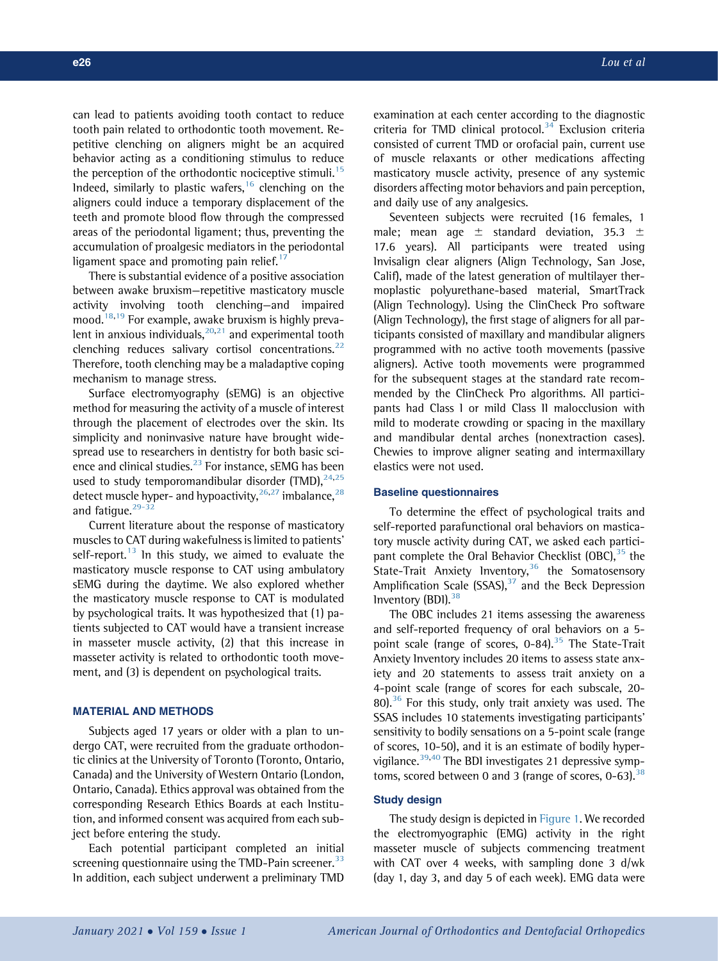can lead to patients avoiding tooth contact to reduce tooth pain related to orthodontic tooth movement. Repetitive clenching on aligners might be an acquired behavior acting as a conditioning stimulus to reduce the perception of the orthodontic nociceptive stimuli.<sup>[15](#page-7-2)</sup> Indeed, similarly to plastic wafers,  $16$  clenching on the aligners could induce a temporary displacement of the teeth and promote blood flow through the compressed areas of the periodontal ligament; thus, preventing the accumulation of proalgesic mediators in the periodontal ligament space and promoting pain relief.<sup>[17](#page-7-4)</sup>

There is substantial evidence of a positive association between awake bruxism—repetitive masticatory muscle activity involving tooth clenching—and impaired mood.<sup>[18](#page-7-5)[,19](#page-7-6)</sup> For example, awake bruxism is highly prevalent in anxious individuals, $20,21$  $20,21$  and experimental tooth clenching reduces salivary cortisol concentrations. $^{22}$  $^{22}$  $^{22}$ Therefore, tooth clenching may be a maladaptive coping mechanism to manage stress.

Surface electromyography (sEMG) is an objective method for measuring the activity of a muscle of interest through the placement of electrodes over the skin. Its simplicity and noninvasive nature have brought widespread use to researchers in dentistry for both basic sci-ence and clinical studies.<sup>[23](#page-7-10)</sup> For instance, sEMG has been used to study temporomandibular disorder (TMD),  $24,25$  $24,25$  $24,25$ detect muscle hyper- and hypoactivity,  $26,27$  $26,27$  imbalance,  $28$ and fatigue. $29-32$ 

Current literature about the response of masticatory muscles to CAT during wakefulness is limited to patients' self-report. $13$  In this study, we aimed to evaluate the masticatory muscle response to CAT using ambulatory sEMG during the daytime. We also explored whether the masticatory muscle response to CAT is modulated by psychological traits. It was hypothesized that (1) patients subjected to CAT would have a transient increase in masseter muscle activity, (2) that this increase in masseter activity is related to orthodontic tooth movement, and (3) is dependent on psychological traits.

## MATERIAL AND METHODS

Subjects aged 17 years or older with a plan to undergo CAT, were recruited from the graduate orthodontic clinics at the University of Toronto (Toronto, Ontario, Canada) and the University of Western Ontario (London, Ontario, Canada). Ethics approval was obtained from the corresponding Research Ethics Boards at each Institution, and informed consent was acquired from each subject before entering the study.

Each potential participant completed an initial screening questionnaire using the TMD-Pain screener. $33$ In addition, each subject underwent a preliminary TMD examination at each center according to the diagnostic criteria for TMD clinical protocol. $34$  Exclusion criteria consisted of current TMD or orofacial pain, current use of muscle relaxants or other medications affecting masticatory muscle activity, presence of any systemic disorders affecting motor behaviors and pain perception, and daily use of any analgesics.

Seventeen subjects were recruited (16 females, 1 male; mean age  $\pm$  standard deviation, 35.3  $\pm$ 17.6 years). All participants were treated using Invisalign clear aligners (Align Technology, San Jose, Calif), made of the latest generation of multilayer thermoplastic polyurethane-based material, SmartTrack (Align Technology). Using the ClinCheck Pro software (Align Technology), the first stage of aligners for all participants consisted of maxillary and mandibular aligners programmed with no active tooth movements (passive aligners). Active tooth movements were programmed for the subsequent stages at the standard rate recommended by the ClinCheck Pro algorithms. All participants had Class I or mild Class II malocclusion with mild to moderate crowding or spacing in the maxillary and mandibular dental arches (nonextraction cases). Chewies to improve aligner seating and intermaxillary elastics were not used.

#### Baseline questionnaires

To determine the effect of psychological traits and self-reported parafunctional oral behaviors on masticatory muscle activity during CAT, we asked each participant complete the Oral Behavior Checklist  $(OBC),^{35}$  $(OBC),^{35}$  $(OBC),^{35}$  the State-Trait Anxiety Inventory,<sup>[36](#page-7-20)</sup> the Somatosensory Amplification Scale (SSAS), $37$  and the Beck Depression Inventory  $(BDI)$ . [38](#page-7-22)

The OBC includes 21 items assessing the awareness and self-reported frequency of oral behaviors on a 5 point scale (range of scores,  $0-84$ ).<sup>[35](#page-7-19)</sup> The State-Trait Anxiety Inventory includes 20 items to assess state anxiety and 20 statements to assess trait anxiety on a 4-point scale (range of scores for each subscale, 20- 80). $36$  For this study, only trait anxiety was used. The SSAS includes 10 statements investigating participants' sensitivity to bodily sensations on a 5-point scale (range of scores, 10-50), and it is an estimate of bodily hyper-vigilance.<sup>[39,](#page-7-23)[40](#page-7-24)</sup> The BDI investigates 21 depressive symptoms, scored between 0 and 3 (range of scores,  $0-63$ ).<sup>[38](#page-7-22)</sup>

#### Study design

The study design is depicted in [Figure 1](#page-2-0). We recorded the electromyographic (EMG) activity in the right masseter muscle of subjects commencing treatment with CAT over 4 weeks, with sampling done 3 d/wk (day 1, day 3, and day 5 of each week). EMG data were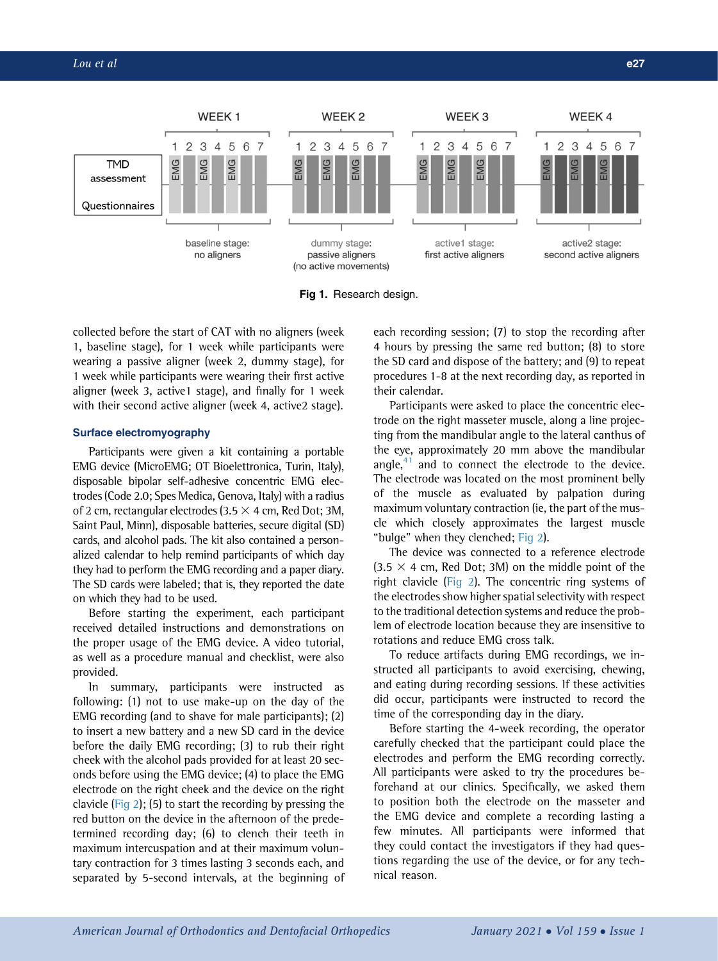<span id="page-2-0"></span>

Fig 1. Research design.

collected before the start of CAT with no aligners (week 1, baseline stage), for 1 week while participants were wearing a passive aligner (week 2, dummy stage), for 1 week while participants were wearing their first active aligner (week 3, active1 stage), and finally for 1 week with their second active aligner (week 4, active2 stage).

## Surface electromyography

Participants were given a kit containing a portable EMG device (MicroEMG; OT Bioelettronica, Turin, Italy), disposable bipolar self-adhesive concentric EMG electrodes (Code 2.0; Spes Medica, Genova, Italy) with a radius of 2 cm, rectangular electrodes (3.5  $\times$  4 cm, Red Dot; 3M, Saint Paul, Minn), disposable batteries, secure digital (SD) cards, and alcohol pads. The kit also contained a personalized calendar to help remind participants of which day they had to perform the EMG recording and a paper diary. The SD cards were labeled; that is, they reported the date on which they had to be used.

Before starting the experiment, each participant received detailed instructions and demonstrations on the proper usage of the EMG device. A video tutorial, as well as a procedure manual and checklist, were also provided.

In summary, participants were instructed as following: (1) not to use make-up on the day of the EMG recording (and to shave for male participants); (2) to insert a new battery and a new SD card in the device before the daily EMG recording; (3) to rub their right cheek with the alcohol pads provided for at least 20 seconds before using the EMG device; (4) to place the EMG electrode on the right cheek and the device on the right clavicle [\(Fig 2](#page-3-0)); (5) to start the recording by pressing the red button on the device in the afternoon of the predetermined recording day; (6) to clench their teeth in maximum intercuspation and at their maximum voluntary contraction for 3 times lasting 3 seconds each, and separated by 5-second intervals, at the beginning of each recording session; (7) to stop the recording after 4 hours by pressing the same red button; (8) to store the SD card and dispose of the battery; and (9) to repeat procedures 1-8 at the next recording day, as reported in their calendar.

Participants were asked to place the concentric electrode on the right masseter muscle, along a line projecting from the mandibular angle to the lateral canthus of the eye, approximately 20 mm above the mandibular angle, $41$  and to connect the electrode to the device. The electrode was located on the most prominent belly of the muscle as evaluated by palpation during maximum voluntary contraction (ie, the part of the muscle which closely approximates the largest muscle "bulge" when they clenched; [Fig 2\)](#page-3-0).

The device was connected to a reference electrode  $(3.5 \times 4 \text{ cm}, \text{Red Dot}; 3M)$  on the middle point of the right clavicle [\(Fig 2](#page-3-0)). The concentric ring systems of the electrodes show higher spatial selectivity with respect to the traditional detection systems and reduce the problem of electrode location because they are insensitive to rotations and reduce EMG cross talk.

To reduce artifacts during EMG recordings, we instructed all participants to avoid exercising, chewing, and eating during recording sessions. If these activities did occur, participants were instructed to record the time of the corresponding day in the diary.

Before starting the 4-week recording, the operator carefully checked that the participant could place the electrodes and perform the EMG recording correctly. All participants were asked to try the procedures beforehand at our clinics. Specifically, we asked them to position both the electrode on the masseter and the EMG device and complete a recording lasting a few minutes. All participants were informed that they could contact the investigators if they had questions regarding the use of the device, or for any technical reason.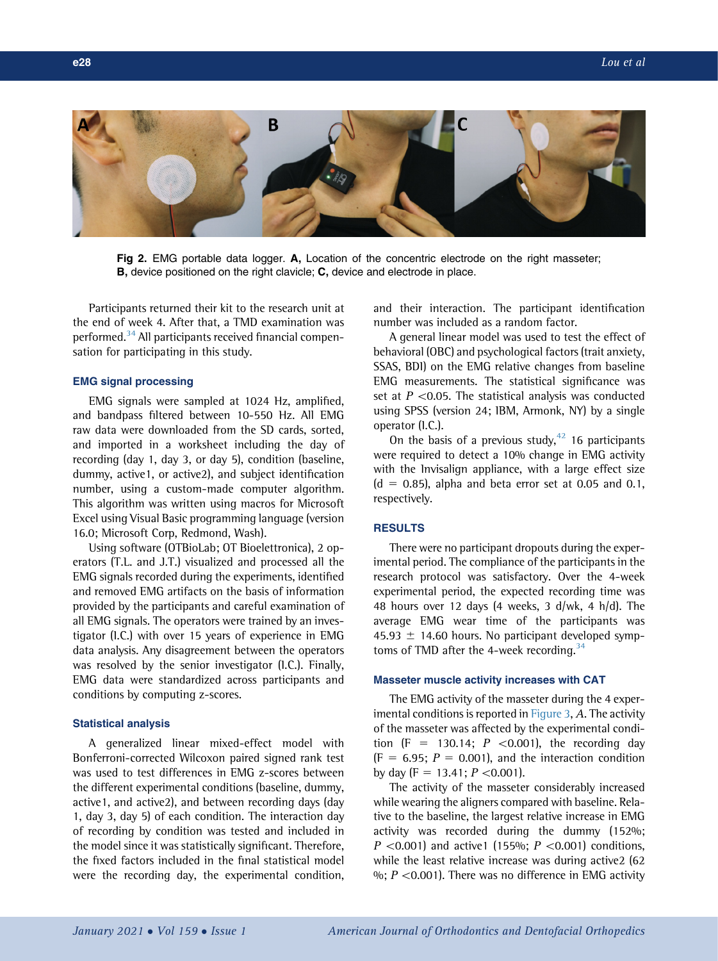<span id="page-3-0"></span>

Fig 2. EMG portable data logger. A, Location of the concentric electrode on the right masseter; **B**, device positioned on the right clavicle; **C**, device and electrode in place.

Participants returned their kit to the research unit at the end of week 4. After that, a TMD examination was performed.<sup>[34](#page-7-18)</sup> All participants received financial compensation for participating in this study.

## EMG signal processing

EMG signals were sampled at 1024 Hz, amplified, and bandpass filtered between 10-550 Hz. All EMG raw data were downloaded from the SD cards, sorted, and imported in a worksheet including the day of recording (day 1, day 3, or day 5), condition (baseline, dummy, active1, or active2), and subject identification number, using a custom-made computer algorithm. This algorithm was written using macros for Microsoft Excel using Visual Basic programming language (version 16.0; Microsoft Corp, Redmond, Wash).

Using software (OTBioLab; OT Bioelettronica), 2 operators (T.L. and J.T.) visualized and processed all the EMG signals recorded during the experiments, identified and removed EMG artifacts on the basis of information provided by the participants and careful examination of all EMG signals. The operators were trained by an investigator (I.C.) with over 15 years of experience in EMG data analysis. Any disagreement between the operators was resolved by the senior investigator (I.C.). Finally, EMG data were standardized across participants and conditions by computing z-scores.

## Statistical analysis

A generalized linear mixed-effect model with Bonferroni-corrected Wilcoxon paired signed rank test was used to test differences in EMG z-scores between the different experimental conditions (baseline, dummy, active1, and active2), and between recording days (day 1, day 3, day 5) of each condition. The interaction day of recording by condition was tested and included in the model since it was statistically significant. Therefore, the fixed factors included in the final statistical model were the recording day, the experimental condition,

and their interaction. The participant identification number was included as a random factor.

A general linear model was used to test the effect of behavioral (OBC) and psychological factors (trait anxiety, SSAS, BDI) on the EMG relative changes from baseline EMG measurements. The statistical significance was set at  $P \le 0.05$ . The statistical analysis was conducted using SPSS (version 24; IBM, Armonk, NY) by a single operator (I.C.).

On the basis of a previous study, $42$  16 participants were required to detect a 10% change in EMG activity with the Invisalign appliance, with a large effect size  $(d = 0.85)$ , alpha and beta error set at 0.05 and 0.1, respectively.

## **RESULTS**

There were no participant dropouts during the experimental period. The compliance of the participants in the research protocol was satisfactory. Over the 4-week experimental period, the expected recording time was 48 hours over 12 days (4 weeks, 3 d/wk, 4 h/d). The average EMG wear time of the participants was 45.93  $\pm$  14.60 hours. No participant developed symptoms of TMD after the 4-week recording.  $34$ 

#### Masseter muscle activity increases with CAT

The EMG activity of the masseter during the 4 exper-imental conditions is reported in [Figure 3,](#page-4-0) A. The activity of the masseter was affected by the experimental condition (F = 130.14;  $P$  <0.001), the recording day  $(F = 6.95; P = 0.001)$ , and the interaction condition by day (F = 13.41;  $P \le 0.001$ ).

The activity of the masseter considerably increased while wearing the aligners compared with baseline. Relative to the baseline, the largest relative increase in EMG activity was recorded during the dummy (152%;  $P \le 0.001$  and active1 (155%;  $P \le 0.001$ ) conditions, while the least relative increase was during active2 (62) %;  $P \le 0.001$ ). There was no difference in EMG activity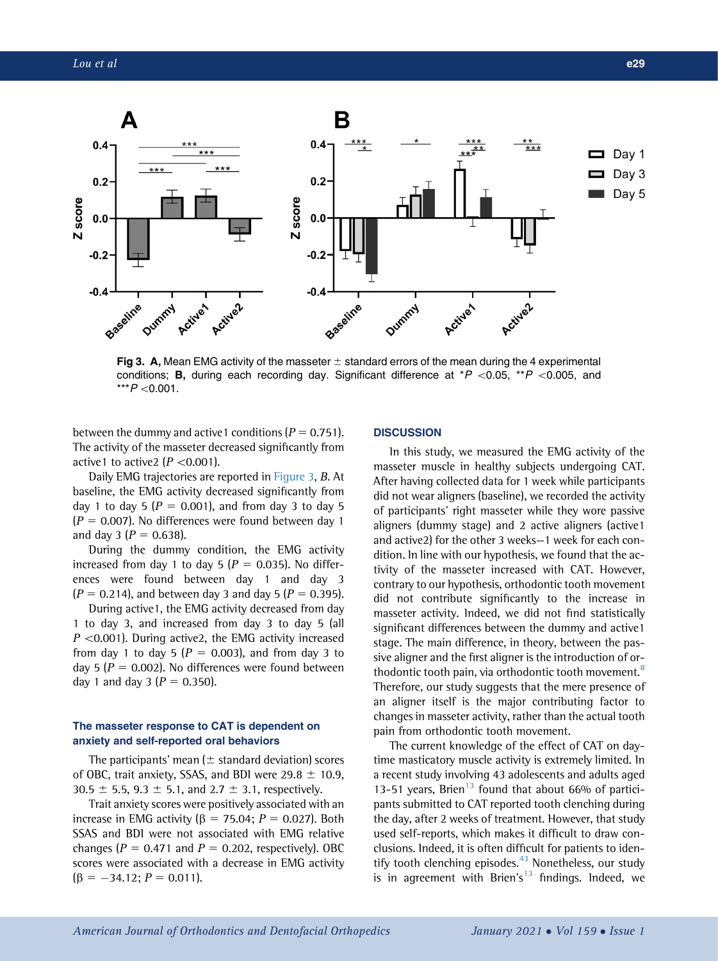<span id="page-4-0"></span>

Fig 3. A, Mean EMG activity of the masseter  $\pm$  standard errors of the mean during the 4 experimental conditions; **B**, during each recording day. Significant difference at  $*P$  <0.05,  $*P$  <0.005, and  $***P < 0.001$ .

between the dummy and active1 conditions  $(P = 0.751)$ . The activity of the masseter decreased significantly from active1 to active2 ( $P \le 0.001$ ).

Daily EMG trajectories are reported in [Figure 3,](#page-4-0) B. At baseline, the EMG activity decreased significantly from day 1 to day 5 ( $P = 0.001$ ), and from day 3 to day 5  $(P = 0.007)$ . No differences were found between day 1 and day 3 ( $P = 0.638$ ).

During the dummy condition, the EMG activity increased from day 1 to day 5 ( $P = 0.035$ ). No differences were found between day 1 and day 3  $(P = 0.214)$ , and between day 3 and day 5  $(P = 0.395)$ .

During active1, the EMG activity decreased from day 1 to day 3, and increased from day 3 to day 5 (all  $P$  <0.001). During active2, the EMG activity increased from day 1 to day 5 ( $P = 0.003$ ), and from day 3 to day 5 ( $P = 0.002$ ). No differences were found between day 1 and day 3 ( $P = 0.350$ ).

## The masseter response to CAT is dependent on anxiety and self-reported oral behaviors

The participants' mean ( $\pm$  standard deviation) scores of OBC, trait anxiety, SSAS, and BDI were  $29.8 \pm 10.9$ , 30.5  $\pm$  5.5, 9.3  $\pm$  5.1, and 2.7  $\pm$  3.1, respectively.

Trait anxiety scores were positively associated with an increase in EMG activity ( $\beta$  = 75.04; P = 0.027). Both SSAS and BDI were not associated with EMG relative changes ( $P = 0.471$  and  $P = 0.202$ , respectively). OBC scores were associated with a decrease in EMG activity  $(\beta = -34.12; P = 0.011).$ 

#### **DISCUSSION**

In this study, we measured the EMG activity of the masseter muscle in healthy subjects undergoing CAT. After having collected data for 1 week while participants did not wear aligners (baseline), we recorded the activity of participants' right masseter while they wore passive aligners (dummy stage) and 2 active aligners (active1 and active2) for the other 3 weeks—1 week for each condition. In line with our hypothesis, we found that the activity of the masseter increased with CAT. However, contrary to our hypothesis, orthodontic tooth movement did not contribute significantly to the increase in masseter activity. Indeed, we did not find statistically significant differences between the dummy and active1 stage. The main difference, in theory, between the passive aligner and the first aligner is the introduction of or-thodontic tooth pain, via orthodontic tooth movement.<sup>[8](#page-6-7)</sup> Therefore, our study suggests that the mere presence of an aligner itself is the major contributing factor to changes in masseter activity, rather than the actual tooth pain from orthodontic tooth movement.

The current knowledge of the effect of CAT on daytime masticatory muscle activity is extremely limited. In a recent study involving 43 adolescents and adults aged [13](#page-7-0)-51 years, Brien<sup>13</sup> found that about 66% of participants submitted to CAT reported tooth clenching during the day, after 2 weeks of treatment. However, that study used self-reports, which makes it difficult to draw conclusions. Indeed, it is often difficult for patients to iden-tify tooth clenching episodes.<sup>[43](#page-7-27)</sup> Nonetheless, our study is in agreement with Brien's<sup>[13](#page-7-0)</sup> findings. Indeed, we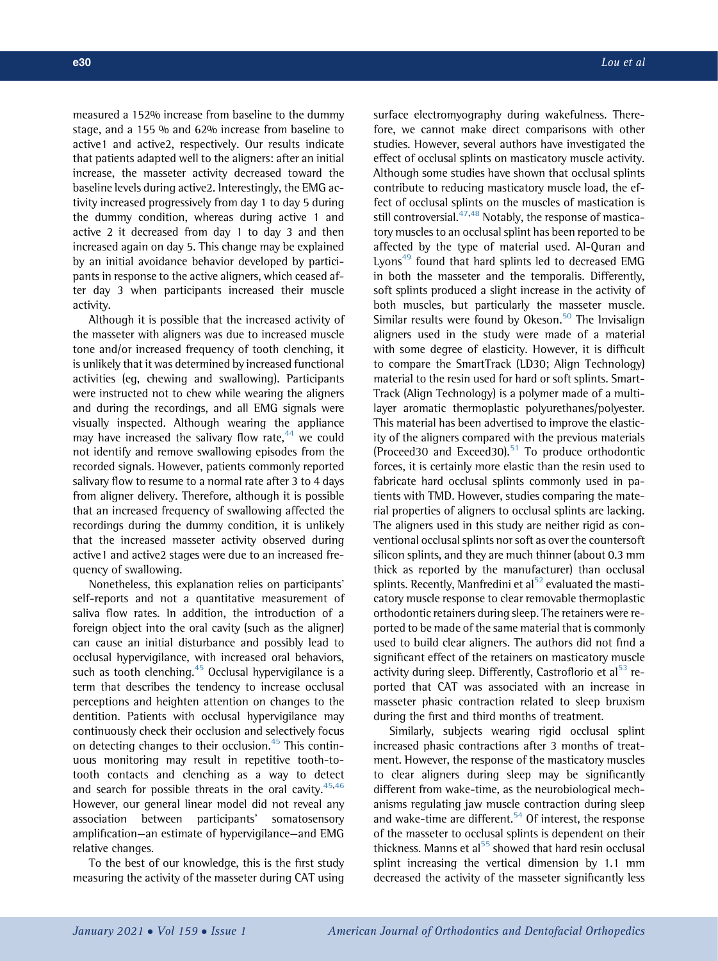measured a 152% increase from baseline to the dummy stage, and a 155 % and 62% increase from baseline to active1 and active2, respectively. Our results indicate that patients adapted well to the aligners: after an initial increase, the masseter activity decreased toward the baseline levels during active2. Interestingly, the EMG activity increased progressively from day 1 to day 5 during the dummy condition, whereas during active 1 and active 2 it decreased from day 1 to day 3 and then increased again on day 5. This change may be explained by an initial avoidance behavior developed by participants in response to the active aligners, which ceased after day 3 when participants increased their muscle activity.

Although it is possible that the increased activity of the masseter with aligners was due to increased muscle tone and/or increased frequency of tooth clenching, it is unlikely that it was determined by increased functional activities (eg, chewing and swallowing). Participants were instructed not to chew while wearing the aligners and during the recordings, and all EMG signals were visually inspected. Although wearing the appliance may have increased the salivary flow rate, $44$  we could not identify and remove swallowing episodes from the recorded signals. However, patients commonly reported salivary flow to resume to a normal rate after 3 to 4 days from aligner delivery. Therefore, although it is possible that an increased frequency of swallowing affected the recordings during the dummy condition, it is unlikely that the increased masseter activity observed during active1 and active2 stages were due to an increased frequency of swallowing.

Nonetheless, this explanation relies on participants' self-reports and not a quantitative measurement of saliva flow rates. In addition, the introduction of a foreign object into the oral cavity (such as the aligner) can cause an initial disturbance and possibly lead to occlusal hypervigilance, with increased oral behaviors, such as tooth clenching. $45$  Occlusal hypervigilance is a term that describes the tendency to increase occlusal perceptions and heighten attention on changes to the dentition. Patients with occlusal hypervigilance may continuously check their occlusion and selectively focus on detecting changes to their occlusion.<sup>[45](#page-7-29)</sup> This continuous monitoring may result in repetitive tooth-totooth contacts and clenching as a way to detect and search for possible threats in the oral cavity. $45,46$  $45,46$  $45,46$ However, our general linear model did not reveal any association between participants' somatosensory amplification—an estimate of hypervigilance—and EMG relative changes.

To the best of our knowledge, this is the first study measuring the activity of the masseter during CAT using

surface electromyography during wakefulness. Therefore, we cannot make direct comparisons with other studies. However, several authors have investigated the effect of occlusal splints on masticatory muscle activity. Although some studies have shown that occlusal splints contribute to reducing masticatory muscle load, the effect of occlusal splints on the muscles of mastication is still controversial. $47,48$  $47,48$  Notably, the response of masticatory muscles to an occlusal splint has been reported to be affected by the type of material used. Al-Quran and Lyons<sup>[49](#page-7-33)</sup> found that hard splints led to decreased EMG in both the masseter and the temporalis. Differently, soft splints produced a slight increase in the activity of both muscles, but particularly the masseter muscle. Similar results were found by Okeson. $50$  The Invisalign aligners used in the study were made of a material with some degree of elasticity. However, it is difficult to compare the SmartTrack (LD30; Align Technology) material to the resin used for hard or soft splints. Smart-Track (Align Technology) is a polymer made of a multilayer aromatic thermoplastic polyurethanes/polyester. This material has been advertised to improve the elasticity of the aligners compared with the previous materials (Proceed30 and Exceed30). $51$  To produce orthodontic forces, it is certainly more elastic than the resin used to fabricate hard occlusal splints commonly used in patients with TMD. However, studies comparing the material properties of aligners to occlusal splints are lacking. The aligners used in this study are neither rigid as conventional occlusal splints nor soft as over the countersoft silicon splints, and they are much thinner (about 0.3 mm thick as reported by the manufacturer) than occlusal splints. Recently, Manfredini et al $52$  evaluated the masticatory muscle response to clear removable thermoplastic orthodontic retainers during sleep. The retainers were reported to be made of the same material that is commonly used to build clear aligners. The authors did not find a significant effect of the retainers on masticatory muscle activity during sleep. Differently, Castroflorio et al $<sup>53</sup>$  $<sup>53</sup>$  $<sup>53</sup>$  re-</sup> ported that CAT was associated with an increase in masseter phasic contraction related to sleep bruxism during the first and third months of treatment.

Similarly, subjects wearing rigid occlusal splint increased phasic contractions after 3 months of treatment. However, the response of the masticatory muscles to clear aligners during sleep may be significantly different from wake-time, as the neurobiological mechanisms regulating jaw muscle contraction during sleep and wake-time are different. $54$  Of interest, the response of the masseter to occlusal splints is dependent on their thickness. Manns et al $55$  showed that hard resin occlusal splint increasing the vertical dimension by 1.1 mm decreased the activity of the masseter significantly less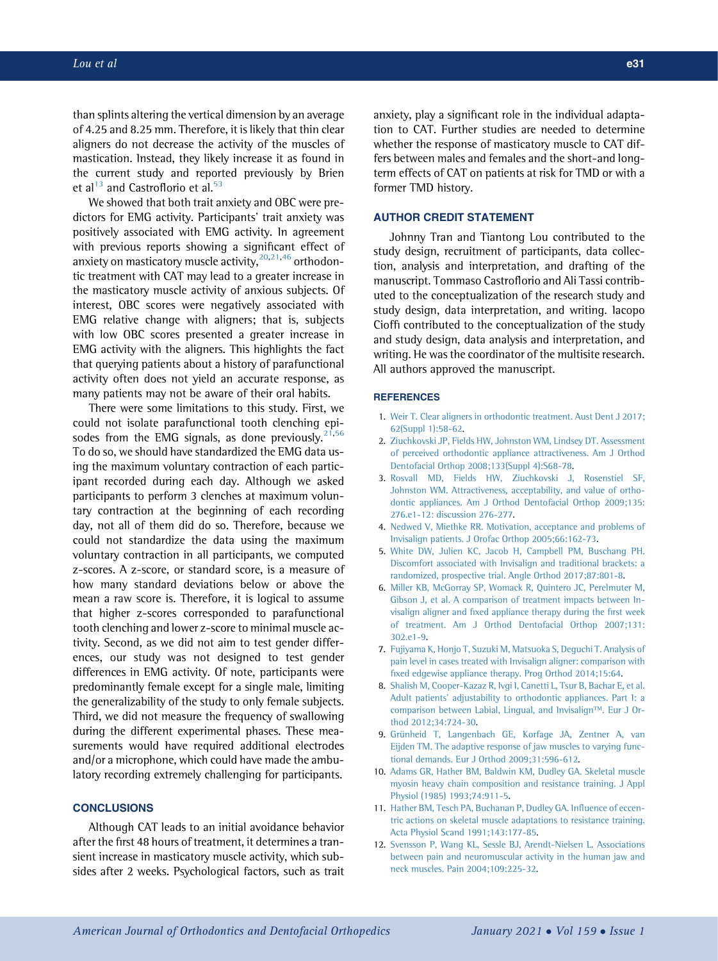than splints altering the vertical dimension by an average of 4.25 and 8.25 mm. Therefore, it is likely that thin clear aligners do not decrease the activity of the muscles of mastication. Instead, they likely increase it as found in the current study and reported previously by Brien et al $^{13}$  $^{13}$  $^{13}$  and Castroflorio et al.<sup>[53](#page-8-0)</sup>

We showed that both trait anxiety and OBC were predictors for EMG activity. Participants' trait anxiety was positively associated with EMG activity. In agreement with previous reports showing a significant effect of anxiety on masticatory muscle activity,  $20,21,46$  $20,21,46$  $20,21,46$  $20,21,46$  orthodontic treatment with CAT may lead to a greater increase in the masticatory muscle activity of anxious subjects. Of interest, OBC scores were negatively associated with EMG relative change with aligners; that is, subjects with low OBC scores presented a greater increase in EMG activity with the aligners. This highlights the fact that querying patients about a history of parafunctional activity often does not yield an accurate response, as many patients may not be aware of their oral habits.

There were some limitations to this study. First, we could not isolate parafunctional tooth clenching episodes from the EMG signals, as done previously. $21,56$  $21,56$  $21,56$ To do so, we should have standardized the EMG data using the maximum voluntary contraction of each participant recorded during each day. Although we asked participants to perform 3 clenches at maximum voluntary contraction at the beginning of each recording day, not all of them did do so. Therefore, because we could not standardize the data using the maximum voluntary contraction in all participants, we computed z-scores. A z-score, or standard score, is a measure of how many standard deviations below or above the mean a raw score is. Therefore, it is logical to assume that higher z-scores corresponded to parafunctional tooth clenching and lower z-score to minimal muscle activity. Second, as we did not aim to test gender differences, our study was not designed to test gender differences in EMG activity. Of note, participants were predominantly female except for a single male, limiting the generalizability of the study to only female subjects. Third, we did not measure the frequency of swallowing during the different experimental phases. These measurements would have required additional electrodes and/or a microphone, which could have made the ambulatory recording extremely challenging for participants.

## **CONCLUSIONS**

Although CAT leads to an initial avoidance behavior after the first 48 hours of treatment, it determines a transient increase in masticatory muscle activity, which subsides after 2 weeks. Psychological factors, such as trait anxiety, play a significant role in the individual adaptation to CAT. Further studies are needed to determine whether the response of masticatory muscle to CAT differs between males and females and the short-and longterm effects of CAT on patients at risk for TMD or with a former TMD history.

## AUTHOR CREDIT STATEMENT

Johnny Tran and Tiantong Lou contributed to the study design, recruitment of participants, data collection, analysis and interpretation, and drafting of the manuscript. Tommaso Castroflorio and Ali Tassi contributed to the conceptualization of the research study and study design, data interpretation, and writing. Iacopo Cioffi contributed to the conceptualization of the study and study design, data analysis and interpretation, and writing. He was the coordinator of the multisite research. All authors approved the manuscript.

#### **REFERENCES**

- <span id="page-6-0"></span>1. [Weir T. Clear aligners in orthodontic treatment. Aust Dent J 2017;](http://refhub.elsevier.com/S0889-5406(20)30578-3/sref1) [62\(Suppl 1\):58-62.](http://refhub.elsevier.com/S0889-5406(20)30578-3/sref1)
- <span id="page-6-1"></span>2. [Ziuchkovski JP, Fields HW, Johnston WM, Lindsey DT. Assessment](http://refhub.elsevier.com/S0889-5406(20)30578-3/sref2) [of perceived orthodontic appliance attractiveness. Am J Orthod](http://refhub.elsevier.com/S0889-5406(20)30578-3/sref2) [Dentofacial Orthop 2008;133\(Suppl 4\):S68-78](http://refhub.elsevier.com/S0889-5406(20)30578-3/sref2).
- <span id="page-6-2"></span>3. [Rosvall MD, Fields HW, Ziuchkovski J, Rosenstiel SF,](http://refhub.elsevier.com/S0889-5406(20)30578-3/sref3) [Johnston WM. Attractiveness, acceptability, and value of ortho](http://refhub.elsevier.com/S0889-5406(20)30578-3/sref3)[dontic appliances. Am J Orthod Dentofacial Orthop 2009;135:](http://refhub.elsevier.com/S0889-5406(20)30578-3/sref3) [276.e1-12: discussion 276-277.](http://refhub.elsevier.com/S0889-5406(20)30578-3/sref3)
- <span id="page-6-3"></span>4. [Nedwed V, Miethke RR. Motivation, acceptance and problems of](http://refhub.elsevier.com/S0889-5406(20)30578-3/sref4) [Invisalign patients. J Orofac Orthop 2005;66:162-73.](http://refhub.elsevier.com/S0889-5406(20)30578-3/sref4)
- <span id="page-6-4"></span>5. [White DW, Julien KC, Jacob H, Campbell PM, Buschang PH.](http://refhub.elsevier.com/S0889-5406(20)30578-3/sref5) [Discomfort associated with Invisalign and traditional brackets: a](http://refhub.elsevier.com/S0889-5406(20)30578-3/sref5) [randomized, prospective trial. Angle Orthod 2017;87:801-8.](http://refhub.elsevier.com/S0889-5406(20)30578-3/sref5)
- 6. [Miller KB, McGorray SP, Womack R, Quintero JC, Perelmuter M,](http://refhub.elsevier.com/S0889-5406(20)30578-3/sref6) [Gibson J, et al. A comparison of treatment impacts between In](http://refhub.elsevier.com/S0889-5406(20)30578-3/sref6)visalign aligner and fi[xed appliance therapy during the](http://refhub.elsevier.com/S0889-5406(20)30578-3/sref6) first week [of treatment. Am J Orthod Dentofacial Orthop 2007;131:](http://refhub.elsevier.com/S0889-5406(20)30578-3/sref6) [302.e1-9](http://refhub.elsevier.com/S0889-5406(20)30578-3/sref6).
- 7. [Fujiyama K, Honjo T, Suzuki M, Matsuoka S, Deguchi T. Analysis of](http://refhub.elsevier.com/S0889-5406(20)30578-3/sref7) [pain level in cases treated with Invisalign aligner: comparison with](http://refhub.elsevier.com/S0889-5406(20)30578-3/sref7) fi[xed edgewise appliance therapy. Prog Orthod 2014;15:64.](http://refhub.elsevier.com/S0889-5406(20)30578-3/sref7)
- <span id="page-6-7"></span>8. [Shalish M, Cooper-Kazaz R, Ivgi I, Canetti L, Tsur B, Bachar E, et al.](http://refhub.elsevier.com/S0889-5406(20)30578-3/sref8) [Adult patients' adjustability to orthodontic appliances. Part I: a](http://refhub.elsevier.com/S0889-5406(20)30578-3/sref8) [comparison between Labial, Lingual, and Invisalign](http://refhub.elsevier.com/S0889-5406(20)30578-3/sref8)<sup>TM</sup>[. Eur J Or](http://refhub.elsevier.com/S0889-5406(20)30578-3/sref8)[thod 2012;34:724-30.](http://refhub.elsevier.com/S0889-5406(20)30578-3/sref8)
- <span id="page-6-5"></span>9. Grünheid T, Langenbach GE, Korfage JA, Zentner A, van [Eijden TM. The adaptive response of jaw muscles to varying func](http://refhub.elsevier.com/S0889-5406(20)30578-3/sref9)[tional demands. Eur J Orthod 2009;31:596-612.](http://refhub.elsevier.com/S0889-5406(20)30578-3/sref9)
- <span id="page-6-6"></span>10. [Adams GR, Hather BM, Baldwin KM, Dudley GA. Skeletal muscle](http://refhub.elsevier.com/S0889-5406(20)30578-3/sref10) [myosin heavy chain composition and resistance training. J Appl](http://refhub.elsevier.com/S0889-5406(20)30578-3/sref10) [Physiol \(1985\) 1993;74:911-5](http://refhub.elsevier.com/S0889-5406(20)30578-3/sref10).
- 11. [Hather BM, Tesch PA, Buchanan P, Dudley GA. In](http://refhub.elsevier.com/S0889-5406(20)30578-3/sref11)fluence of eccen[tric actions on skeletal muscle adaptations to resistance training.](http://refhub.elsevier.com/S0889-5406(20)30578-3/sref11) [Acta Physiol Scand 1991;143:177-85](http://refhub.elsevier.com/S0889-5406(20)30578-3/sref11).
- 12. [Svensson P, Wang KL, Sessle BJ, Arendt-Nielsen L. Associations](http://refhub.elsevier.com/S0889-5406(20)30578-3/sref12) [between pain and neuromuscular activity in the human jaw and](http://refhub.elsevier.com/S0889-5406(20)30578-3/sref12) [neck muscles. Pain 2004;109:225-32.](http://refhub.elsevier.com/S0889-5406(20)30578-3/sref12)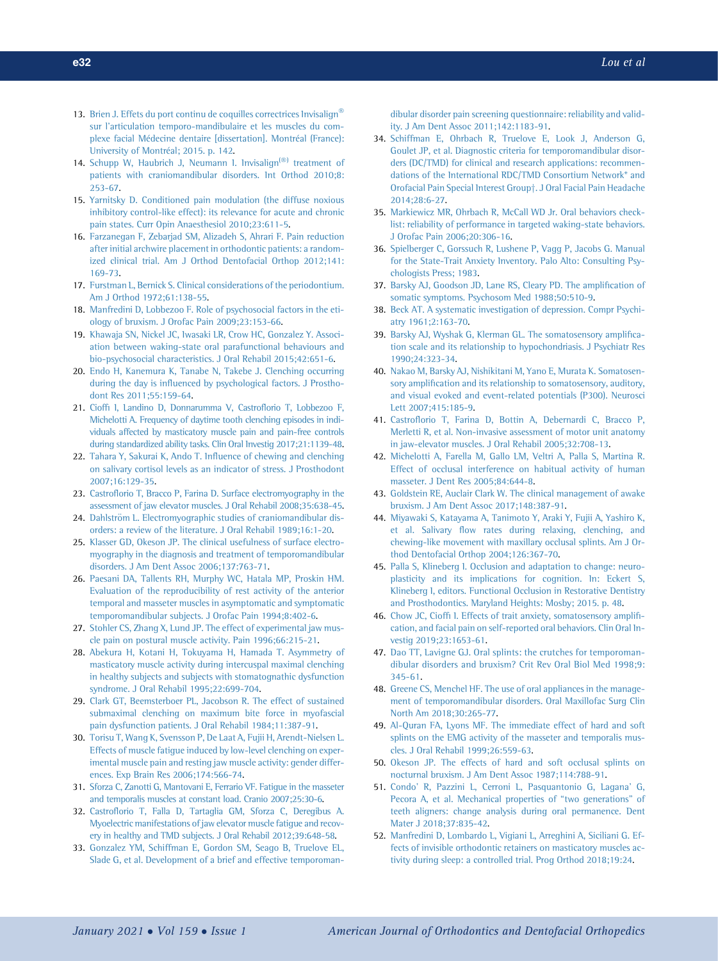- <span id="page-7-0"></span>13. [Brien](http://refhub.elsevier.com/S0889-5406(20)30578-3/sref13) [J.](http://refhub.elsevier.com/S0889-5406(20)30578-3/sref13) [Effets](http://refhub.elsevier.com/S0889-5406(20)30578-3/sref13) [du](http://refhub.elsevier.com/S0889-5406(20)30578-3/sref13) [port](http://refhub.elsevier.com/S0889-5406(20)30578-3/sref13) [continu](http://refhub.elsevier.com/S0889-5406(20)30578-3/sref13) [de](http://refhub.elsevier.com/S0889-5406(20)30578-3/sref13) [coquilles](http://refhub.elsevier.com/S0889-5406(20)30578-3/sref13) [correctrices](http://refhub.elsevier.com/S0889-5406(20)30578-3/sref13) [Invisalign](http://refhub.elsevier.com/S0889-5406(20)30578-3/sref13)<sup>®</sup> [sur l'articulation temporo-mandibulaire et les muscles du com](http://refhub.elsevier.com/S0889-5406(20)30578-3/sref13)[plexe facial M](http://refhub.elsevier.com/S0889-5406(20)30578-3/sref13)é[decine dentaire \[dissertation\]. Montr](http://refhub.elsevier.com/S0889-5406(20)30578-3/sref13)éal (France): [University of Montr](http://refhub.elsevier.com/S0889-5406(20)30578-3/sref13)é[al; 2015. p. 142.](http://refhub.elsevier.com/S0889-5406(20)30578-3/sref13)
- <span id="page-7-1"></span>14. [Schupp](http://refhub.elsevier.com/S0889-5406(20)30578-3/sref14) [W,](http://refhub.elsevier.com/S0889-5406(20)30578-3/sref14) [Haubrich](http://refhub.elsevier.com/S0889-5406(20)30578-3/sref14) [J,](http://refhub.elsevier.com/S0889-5406(20)30578-3/sref14) [Neumann](http://refhub.elsevier.com/S0889-5406(20)30578-3/sref14) [I.](http://refhub.elsevier.com/S0889-5406(20)30578-3/sref14) Invisalign<sup>(®[\)](http://refhub.elsevier.com/S0889-5406(20)30578-3/sref14)</sup> [treatment of](http://refhub.elsevier.com/S0889-5406(20)30578-3/sref14) [patients with craniomandibular disorders. Int Orthod 2010;8:](http://refhub.elsevier.com/S0889-5406(20)30578-3/sref14) [253-67.](http://refhub.elsevier.com/S0889-5406(20)30578-3/sref14)
- <span id="page-7-2"></span>15. [Yarnitsky D. Conditioned pain modulation \(the diffuse noxious](http://refhub.elsevier.com/S0889-5406(20)30578-3/sref15) [inhibitory control-like effect\): its relevance for acute and chronic](http://refhub.elsevier.com/S0889-5406(20)30578-3/sref15) [pain states. Curr Opin Anaesthesiol 2010;23:611-5.](http://refhub.elsevier.com/S0889-5406(20)30578-3/sref15)
- <span id="page-7-3"></span>16. [Farzanegan F, Zebarjad SM, Alizadeh S, Ahrari F. Pain reduction](http://refhub.elsevier.com/S0889-5406(20)30578-3/sref16) [after initial archwire placement in orthodontic patients: a random](http://refhub.elsevier.com/S0889-5406(20)30578-3/sref16)[ized clinical trial. Am J Orthod Dentofacial Orthop 2012;141:](http://refhub.elsevier.com/S0889-5406(20)30578-3/sref16) [169-73.](http://refhub.elsevier.com/S0889-5406(20)30578-3/sref16)
- <span id="page-7-4"></span>17. [Furstman L, Bernick S. Clinical considerations of the periodontium.](http://refhub.elsevier.com/S0889-5406(20)30578-3/sref17) [Am J Orthod 1972;61:138-55.](http://refhub.elsevier.com/S0889-5406(20)30578-3/sref17)
- <span id="page-7-5"></span>18. [Manfredini D, Lobbezoo F. Role of psychosocial factors in the eti](http://refhub.elsevier.com/S0889-5406(20)30578-3/sref18)[ology of bruxism. J Orofac Pain 2009;23:153-66.](http://refhub.elsevier.com/S0889-5406(20)30578-3/sref18)
- <span id="page-7-6"></span>19. [Khawaja SN, Nickel JC, Iwasaki LR, Crow HC, Gonzalez Y. Associ](http://refhub.elsevier.com/S0889-5406(20)30578-3/sref19)[ation between waking-state oral parafunctional behaviours and](http://refhub.elsevier.com/S0889-5406(20)30578-3/sref19) [bio-psychosocial characteristics. J Oral Rehabil 2015;42:651-6.](http://refhub.elsevier.com/S0889-5406(20)30578-3/sref19)
- <span id="page-7-7"></span>20. [Endo H, Kanemura K, Tanabe N, Takebe J. Clenching occurring](http://refhub.elsevier.com/S0889-5406(20)30578-3/sref20) during the day is infl[uenced by psychological factors. J Prostho](http://refhub.elsevier.com/S0889-5406(20)30578-3/sref20)[dont Res 2011;55:159-64.](http://refhub.elsevier.com/S0889-5406(20)30578-3/sref20)
- <span id="page-7-8"></span>21. Cioffi [I, Landino D, Donnarumma V, Castro](http://refhub.elsevier.com/S0889-5406(20)30578-3/sref21)florio T, Lobbezoo F, [Michelotti A. Frequency of daytime tooth clenching episodes in indi](http://refhub.elsevier.com/S0889-5406(20)30578-3/sref21)[viduals affected by masticatory muscle pain and pain-free controls](http://refhub.elsevier.com/S0889-5406(20)30578-3/sref21) [during standardized ability tasks. Clin Oral Investig 2017;21:1139-48.](http://refhub.elsevier.com/S0889-5406(20)30578-3/sref21)
- <span id="page-7-9"></span>22. Tahara Y, Sakurai K, Ando T. Infl[uence of chewing and clenching](http://refhub.elsevier.com/S0889-5406(20)30578-3/sref22) [on salivary cortisol levels as an indicator of stress. J Prosthodont](http://refhub.elsevier.com/S0889-5406(20)30578-3/sref22) [2007;16:129-35.](http://refhub.elsevier.com/S0889-5406(20)30578-3/sref22)
- <span id="page-7-10"></span>23. Castrofl[orio T, Bracco P, Farina D. Surface electromyography in the](http://refhub.elsevier.com/S0889-5406(20)30578-3/sref23) [assessment of jaw elevator muscles. J Oral Rehabil 2008;35:638-45.](http://refhub.elsevier.com/S0889-5406(20)30578-3/sref23)
- <span id="page-7-11"></span>24. Dahlström L. Electromyographic studies of craniomandibular dis[orders: a review of the literature. J Oral Rehabil 1989;16:1-20](http://refhub.elsevier.com/S0889-5406(20)30578-3/sref24).
- <span id="page-7-12"></span>25. [Klasser GD, Okeson JP. The clinical usefulness of surface electro](http://refhub.elsevier.com/S0889-5406(20)30578-3/sref25)[myography in the diagnosis and treatment of temporomandibular](http://refhub.elsevier.com/S0889-5406(20)30578-3/sref25) [disorders. J Am Dent Assoc 2006;137:763-71](http://refhub.elsevier.com/S0889-5406(20)30578-3/sref25).
- <span id="page-7-13"></span>26. [Paesani DA, Tallents RH, Murphy WC, Hatala MP, Proskin HM.](http://refhub.elsevier.com/S0889-5406(20)30578-3/sref26) [Evaluation of the reproducibility of rest activity of the anterior](http://refhub.elsevier.com/S0889-5406(20)30578-3/sref26) [temporal and masseter muscles in asymptomatic and symptomatic](http://refhub.elsevier.com/S0889-5406(20)30578-3/sref26) [temporomandibular subjects. J Orofac Pain 1994;8:402-6](http://refhub.elsevier.com/S0889-5406(20)30578-3/sref26).
- <span id="page-7-14"></span>27. [Stohler CS, Zhang X, Lund JP. The effect of experimental jaw mus](http://refhub.elsevier.com/S0889-5406(20)30578-3/sref27)[cle pain on postural muscle activity. Pain 1996;66:215-21.](http://refhub.elsevier.com/S0889-5406(20)30578-3/sref27)
- <span id="page-7-15"></span>28. [Abekura H, Kotani H, Tokuyama H, Hamada T. Asymmetry of](http://refhub.elsevier.com/S0889-5406(20)30578-3/sref28) [masticatory muscle activity during intercuspal maximal clenching](http://refhub.elsevier.com/S0889-5406(20)30578-3/sref28) [in healthy subjects and subjects with stomatognathic dysfunction](http://refhub.elsevier.com/S0889-5406(20)30578-3/sref28) [syndrome. J Oral Rehabil 1995;22:699-704](http://refhub.elsevier.com/S0889-5406(20)30578-3/sref28).
- <span id="page-7-16"></span>29. [Clark GT, Beemsterboer PL, Jacobson R. The effect of sustained](http://refhub.elsevier.com/S0889-5406(20)30578-3/sref29) [submaximal clenching on maximum bite force in myofascial](http://refhub.elsevier.com/S0889-5406(20)30578-3/sref29) [pain dysfunction patients. J Oral Rehabil 1984;11:387-91](http://refhub.elsevier.com/S0889-5406(20)30578-3/sref29).
- 30. [Torisu T, Wang K, Svensson P, De Laat A, Fujii H, Arendt-Nielsen L.](http://refhub.elsevier.com/S0889-5406(20)30578-3/sref30) [Effects of muscle fatigue induced by low-level clenching on exper](http://refhub.elsevier.com/S0889-5406(20)30578-3/sref30)[imental muscle pain and resting jaw muscle activity: gender differ](http://refhub.elsevier.com/S0889-5406(20)30578-3/sref30)[ences. Exp Brain Res 2006;174:566-74](http://refhub.elsevier.com/S0889-5406(20)30578-3/sref30).
- 31. [Sforza C, Zanotti G, Mantovani E, Ferrario VF. Fatigue in the masseter](http://refhub.elsevier.com/S0889-5406(20)30578-3/sref31) [and temporalis muscles at constant load. Cranio 2007;25:30-6](http://refhub.elsevier.com/S0889-5406(20)30578-3/sref31).
- 32. Castrofl[orio T, Falla D, Tartaglia GM, Sforza C, Deregibus A.](http://refhub.elsevier.com/S0889-5406(20)30578-3/sref32) [Myoelectric manifestations of jaw elevator muscle fatigue and recov](http://refhub.elsevier.com/S0889-5406(20)30578-3/sref32)[ery in healthy and TMD subjects. J Oral Rehabil 2012;39:648-58.](http://refhub.elsevier.com/S0889-5406(20)30578-3/sref32)
- <span id="page-7-17"></span>33. [Gonzalez YM, Schiffman E, Gordon SM, Seago B, Truelove EL,](http://refhub.elsevier.com/S0889-5406(20)30578-3/sref33) [Slade G, et al. Development of a brief and effective temporoman-](http://refhub.elsevier.com/S0889-5406(20)30578-3/sref33)

[dibular disorder pain screening questionnaire: reliability and valid](http://refhub.elsevier.com/S0889-5406(20)30578-3/sref33)[ity. J Am Dent Assoc 2011;142:1183-91.](http://refhub.elsevier.com/S0889-5406(20)30578-3/sref33)

- <span id="page-7-18"></span>34. [Schiffman E, Ohrbach R, Truelove E, Look J, Anderson G,](http://refhub.elsevier.com/S0889-5406(20)30578-3/sref34) [Goulet JP, et al. Diagnostic criteria for temporomandibular disor](http://refhub.elsevier.com/S0889-5406(20)30578-3/sref34)[ders \(DC/TMD\) for clinical and research applications: recommen](http://refhub.elsevier.com/S0889-5406(20)30578-3/sref34)[dations of the International RDC/TMD Consortium Network\\* and](http://refhub.elsevier.com/S0889-5406(20)30578-3/sref34) [Orofacial Pain Special Interest Group](http://refhub.elsevier.com/S0889-5406(20)30578-3/sref34)†[. J Oral Facial Pain Headache](http://refhub.elsevier.com/S0889-5406(20)30578-3/sref34) [2014;28:6-27.](http://refhub.elsevier.com/S0889-5406(20)30578-3/sref34)
- <span id="page-7-19"></span>35. [Markiewicz MR, Ohrbach R, McCall WD Jr. Oral behaviors check](http://refhub.elsevier.com/S0889-5406(20)30578-3/sref35)[list: reliability of performance in targeted waking-state behaviors.](http://refhub.elsevier.com/S0889-5406(20)30578-3/sref35) [J Orofac Pain 2006;20:306-16.](http://refhub.elsevier.com/S0889-5406(20)30578-3/sref35)
- <span id="page-7-20"></span>36. [Spielberger C, Gorssuch R, Lushene P, Vagg P, Jacobs G. Manual](http://refhub.elsevier.com/S0889-5406(20)30578-3/sref36) [for the State-Trait Anxiety Inventory. Palo Alto: Consulting Psy](http://refhub.elsevier.com/S0889-5406(20)30578-3/sref36)[chologists Press; 1983.](http://refhub.elsevier.com/S0889-5406(20)30578-3/sref36)
- <span id="page-7-21"></span>37. [Barsky AJ, Goodson JD, Lane RS, Cleary PD. The ampli](http://refhub.elsevier.com/S0889-5406(20)30578-3/sref37)fication of [somatic symptoms. Psychosom Med 1988;50:510-9](http://refhub.elsevier.com/S0889-5406(20)30578-3/sref37).
- <span id="page-7-22"></span>38. [Beck AT. A systematic investigation of depression. Compr Psychi](http://refhub.elsevier.com/S0889-5406(20)30578-3/sref38)[atry 1961;2:163-70](http://refhub.elsevier.com/S0889-5406(20)30578-3/sref38).
- <span id="page-7-23"></span>39. [Barsky AJ, Wyshak G, Klerman GL. The somatosensory ampli](http://refhub.elsevier.com/S0889-5406(20)30578-3/sref39)fica[tion scale and its relationship to hypochondriasis. J Psychiatr Res](http://refhub.elsevier.com/S0889-5406(20)30578-3/sref39) [1990;24:323-34.](http://refhub.elsevier.com/S0889-5406(20)30578-3/sref39)
- <span id="page-7-24"></span>40. [Nakao M, Barsky AJ, Nishikitani M, Yano E, Murata K. Somatosen](http://refhub.elsevier.com/S0889-5406(20)30578-3/sref40)sory amplifi[cation and its relationship to somatosensory, auditory,](http://refhub.elsevier.com/S0889-5406(20)30578-3/sref40) [and visual evoked and event-related potentials \(P300\). Neurosci](http://refhub.elsevier.com/S0889-5406(20)30578-3/sref40) [Lett 2007;415:185-9](http://refhub.elsevier.com/S0889-5406(20)30578-3/sref40).
- <span id="page-7-25"></span>41. Castrofl[orio T, Farina D, Bottin A, Debernardi C, Bracco P,](http://refhub.elsevier.com/S0889-5406(20)30578-3/sref41) [Merletti R, et al. Non-invasive assessment of motor unit anatomy](http://refhub.elsevier.com/S0889-5406(20)30578-3/sref41) [in jaw-elevator muscles. J Oral Rehabil 2005;32:708-13.](http://refhub.elsevier.com/S0889-5406(20)30578-3/sref41)
- <span id="page-7-26"></span>42. [Michelotti A, Farella M, Gallo LM, Veltri A, Palla S, Martina R.](http://refhub.elsevier.com/S0889-5406(20)30578-3/sref42) [Effect of occlusal interference on habitual activity of human](http://refhub.elsevier.com/S0889-5406(20)30578-3/sref42) [masseter. J Dent Res 2005;84:644-8](http://refhub.elsevier.com/S0889-5406(20)30578-3/sref42).
- <span id="page-7-27"></span>43. [Goldstein RE, Auclair Clark W. The clinical management of awake](http://refhub.elsevier.com/S0889-5406(20)30578-3/sref43) [bruxism. J Am Dent Assoc 2017;148:387-91](http://refhub.elsevier.com/S0889-5406(20)30578-3/sref43).
- <span id="page-7-28"></span>44. [Miyawaki S, Katayama A, Tanimoto Y, Araki Y, Fujii A, Yashiro K,](http://refhub.elsevier.com/S0889-5406(20)30578-3/sref44) et al. Salivary fl[ow rates during relaxing, clenching, and](http://refhub.elsevier.com/S0889-5406(20)30578-3/sref44) [chewing-like movement with maxillary occlusal splints. Am J Or](http://refhub.elsevier.com/S0889-5406(20)30578-3/sref44)[thod Dentofacial Orthop 2004;126:367-70.](http://refhub.elsevier.com/S0889-5406(20)30578-3/sref44)
- <span id="page-7-29"></span>45. [Palla S, Klineberg I. Occlusion and adaptation to change: neuro](http://refhub.elsevier.com/S0889-5406(20)30578-3/sref45)[plasticity and its implications for cognition. In: Eckert S,](http://refhub.elsevier.com/S0889-5406(20)30578-3/sref45) [Klineberg I, editors. Functional Occlusion in Restorative Dentistry](http://refhub.elsevier.com/S0889-5406(20)30578-3/sref45) [and Prosthodontics. Maryland Heights: Mosby; 2015. p. 48.](http://refhub.elsevier.com/S0889-5406(20)30578-3/sref45)
- <span id="page-7-30"></span>46. Chow JC, Cioffi [I. Effects of trait anxiety, somatosensory ampli](http://refhub.elsevier.com/S0889-5406(20)30578-3/sref46)fi[cation, and facial pain on self-reported oral behaviors. Clin Oral In](http://refhub.elsevier.com/S0889-5406(20)30578-3/sref46)[vestig 2019;23:1653-61](http://refhub.elsevier.com/S0889-5406(20)30578-3/sref46).
- <span id="page-7-31"></span>47. [Dao TT, Lavigne GJ. Oral splints: the crutches for temporoman](http://refhub.elsevier.com/S0889-5406(20)30578-3/sref47)[dibular disorders and bruxism? Crit Rev Oral Biol Med 1998;9:](http://refhub.elsevier.com/S0889-5406(20)30578-3/sref47) [345-61](http://refhub.elsevier.com/S0889-5406(20)30578-3/sref47).
- <span id="page-7-32"></span>48. [Greene CS, Menchel HF. The use of oral appliances in the manage](http://refhub.elsevier.com/S0889-5406(20)30578-3/sref48)[ment of temporomandibular disorders. Oral Maxillofac Surg Clin](http://refhub.elsevier.com/S0889-5406(20)30578-3/sref48) [North Am 2018;30:265-77](http://refhub.elsevier.com/S0889-5406(20)30578-3/sref48).
- <span id="page-7-33"></span>49. [Al-Quran FA, Lyons MF. The immediate effect of hard and soft](http://refhub.elsevier.com/S0889-5406(20)30578-3/sref49) [splints on the EMG activity of the masseter and temporalis mus](http://refhub.elsevier.com/S0889-5406(20)30578-3/sref49)[cles. J Oral Rehabil 1999;26:559-63.](http://refhub.elsevier.com/S0889-5406(20)30578-3/sref49)
- <span id="page-7-34"></span>50. [Okeson JP. The effects of hard and soft occlusal splints on](http://refhub.elsevier.com/S0889-5406(20)30578-3/sref50) [nocturnal bruxism. J Am Dent Assoc 1987;114:788-91](http://refhub.elsevier.com/S0889-5406(20)30578-3/sref50).
- <span id="page-7-35"></span>51. [Condo' R, Pazzini L, Cerroni L, Pasquantonio G, Lagana' G,](http://refhub.elsevier.com/S0889-5406(20)30578-3/sref51) [Pecora A, et al. Mechanical properties of](http://refhub.elsevier.com/S0889-5406(20)30578-3/sref51) "two generations" of [teeth aligners: change analysis during oral permanence. Dent](http://refhub.elsevier.com/S0889-5406(20)30578-3/sref51) [Mater J 2018;37:835-42](http://refhub.elsevier.com/S0889-5406(20)30578-3/sref51).
- <span id="page-7-36"></span>52. [Manfredini D, Lombardo L, Vigiani L, Arreghini A, Siciliani G. Ef](http://refhub.elsevier.com/S0889-5406(20)30578-3/sref52)[fects of invisible orthodontic retainers on masticatory muscles ac](http://refhub.elsevier.com/S0889-5406(20)30578-3/sref52)[tivity during sleep: a controlled trial. Prog Orthod 2018;19:24](http://refhub.elsevier.com/S0889-5406(20)30578-3/sref52).